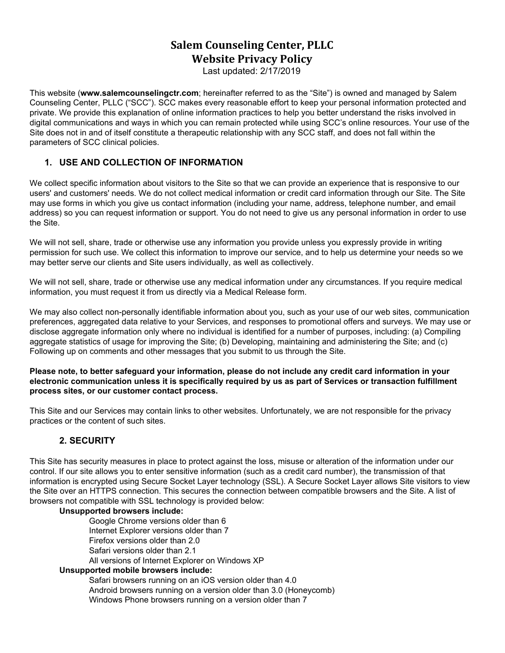# **Salem Counseling Center, PLLC Website Privacy Policy**

Last updated: 2/17/2019

This website (**[www.salemcounselingctr.com](http://www.salemcounselingctr.com/)**; hereinafter referred to as the "Site") is owned and managed by Salem Counseling Center, PLLC ("SCC"). SCC makes every reasonable effort to keep your personal information protected and private. We provide this explanation of online information practices to help you better understand the risks involved in digital communications and ways in which you can remain protected while using SCC's online resources. Your use of the Site does not in and of itself constitute a therapeutic relationship with any SCC staff, and does not fall within the parameters of SCC clinical policies.

# **1. USE AND COLLECTION OF INFORMATION**

We collect specific information about visitors to the Site so that we can provide an experience that is responsive to our users' and customers' needs. We do not collect medical information or credit card information through our Site. The Site may use forms in which you give us contact information (including your name, address, telephone number, and email address) so you can request information or support. You do not need to give us any personal information in order to use the Site.

We will not sell, share, trade or otherwise use any information you provide unless you expressly provide in writing permission for such use. We collect this information to improve our service, and to help us determine your needs so we may better serve our clients and Site users individually, as well as collectively.

We will not sell, share, trade or otherwise use any medical information under any circumstances. If you require medical information, you must request it from us directly via a Medical Release form.

We may also collect non-personally identifiable information about you, such as your use of our web sites, communication preferences, aggregated data relative to your Services, and responses to promotional offers and surveys. We may use or disclose aggregate information only where no individual is identified for a number of purposes, including: (a) Compiling aggregate statistics of usage for improving the Site; (b) Developing, maintaining and administering the Site; and (c) Following up on comments and other messages that you submit to us through the Site.

#### Please note, to better safeguard your information, please do not include any credit card information in your **electronic communication unless it is specifically required by us as part of Services or transaction fulfillment process sites, or our customer contact process.**

This Site and our Services may contain links to other websites. Unfortunately, we are not responsible for the privacy practices or the content of such sites.

# **2. SECURITY**

This Site has security measures in place to protect against the loss, misuse or alteration of the information under our control. If our site allows you to enter sensitive information (such as a credit card number), the transmission of that information is encrypted using Secure Socket Layer technology (SSL). A Secure Socket Layer allows Site visitors to view the Site over an HTTPS connection. This secures the connection between compatible browsers and the Site. A list of browsers not compatible with SSL technology is provided below:

### **Unsupported browsers include:**

Google Chrome versions older than 6 Internet Explorer versions older than 7 Firefox versions older than 2.0 Safari versions older than 2.1 All versions of Internet Explorer on Windows XP

### **Unsupported mobile browsers include:**

Safari browsers running on an iOS version older than 4.0 Android browsers running on a version older than 3.0 (Honeycomb) Windows Phone browsers running on a version older than 7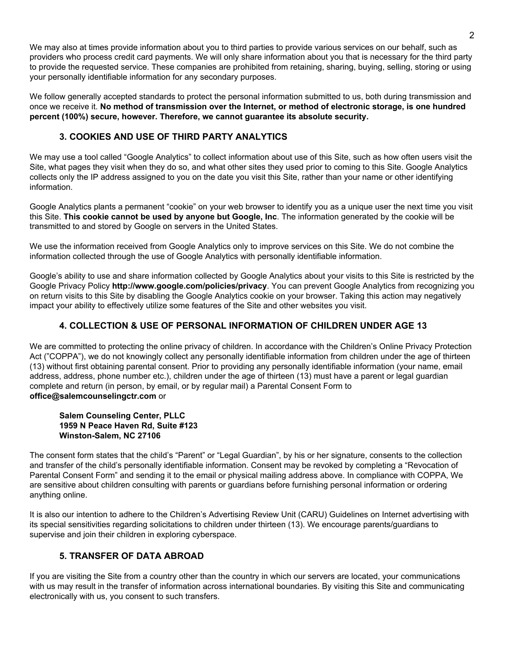We may also at times provide information about you to third parties to provide various services on our behalf, such as providers who process credit card payments. We will only share information about you that is necessary for the third party to provide the requested service. These companies are prohibited from retaining, sharing, buying, selling, storing or using your personally identifiable information for any secondary purposes.

We follow generally accepted standards to protect the personal information submitted to us, both during transmission and once we receive it. **No method of transmission over the Internet, or method of electronic storage, is one hundred percent (100%) secure, however. Therefore, we cannot guarantee its absolute security.**

# **3. COOKIES AND USE OF THIRD PARTY ANALYTICS**

We may use a tool called "Google Analytics" to collect information about use of this Site, such as how often users visit the Site, what pages they visit when they do so, and what other sites they used prior to coming to this Site. Google Analytics collects only the IP address assigned to you on the date you visit this Site, rather than your name or other identifying information.

Google Analytics plants a permanent "cookie" on your web browser to identify you as a unique user the next time you visit this Site. **This cookie cannot be used by anyone but Google, Inc**. The information generated by the cookie will be transmitted to and stored by Google on servers in the United States.

We use the information received from Google Analytics only to improve services on this Site. We do not combine the information collected through the use of Google Analytics with personally identifiable information.

Google's ability to use and share information collected by Google Analytics about your visits to this Site is restricted by the Google Privacy Policy **http://www.google.com/policies/privacy**. You can prevent Google Analytics from recognizing you on return visits to this Site by disabling the Google Analytics cookie on your browser. Taking this action may negatively impact your ability to effectively utilize some features of the Site and other websites you visit.

# **4. COLLECTION & USE OF PERSONAL INFORMATION OF CHILDREN UNDER AGE 13**

We are committed to protecting the online privacy of children. In accordance with the Children's Online Privacy Protection Act ("COPPA"), we do not knowingly collect any personally identifiable information from children under the age of thirteen (13) without first obtaining parental consent. Prior to providing any personally identifiable information (your name, email address, address, phone number etc.), children under the age of thirteen (13) must have a parent or legal guardian complete and return (in person, by email, or by regular mail) a Parental Consent Form to **office@salemcounselingctr.com** or

### **Salem Counseling Center, PLLC 1959 N Peace Haven Rd, Suite #123 Winston-Salem, NC 27106**

The consent form states that the child's "Parent" or "Legal Guardian", by his or her signature, consents to the collection and transfer of the child's personally identifiable information. Consent may be revoked by completing a "Revocation of Parental Consent Form" and sending it to the email or physical mailing address above. In compliance with COPPA, We are sensitive about children consulting with parents or guardians before furnishing personal information or ordering anything online.

It is also our intention to adhere to the Children's Advertising Review Unit (CARU) Guidelines on Internet advertising with its special sensitivities regarding solicitations to children under thirteen (13). We encourage parents/guardians to supervise and join their children in exploring cyberspace.

# **5. TRANSFER OF DATA ABROAD**

If you are visiting the Site from a country other than the country in which our servers are located, your communications with us may result in the transfer of information across international boundaries. By visiting this Site and communicating electronically with us, you consent to such transfers.